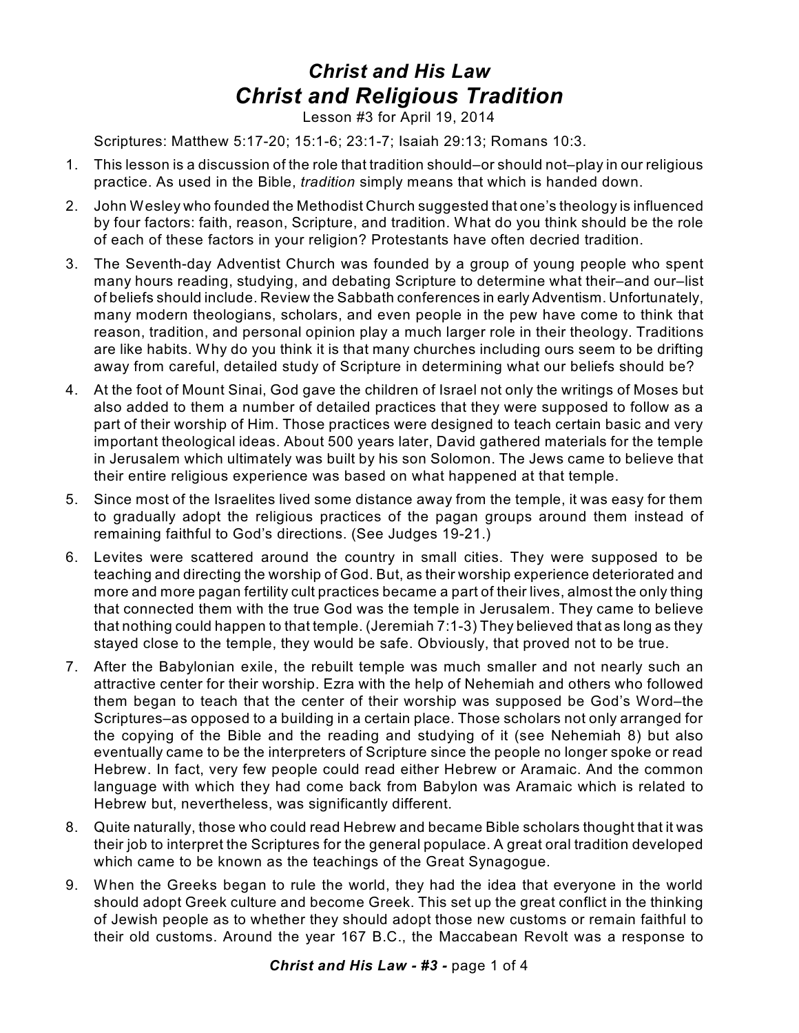## *Christ and His Law Christ and Religious Tradition*

Lesson #3 for April 19, 2014

Scriptures: Matthew 5:17-20; 15:1-6; 23:1-7; Isaiah 29:13; Romans 10:3.

- 1. This lesson is a discussion of the role that tradition should–or should not–play in our religious practice. As used in the Bible, *tradition* simply means that which is handed down.
- 2. John Wesley who founded the Methodist Church suggested that one's theology is influenced by four factors: faith, reason, Scripture, and tradition. What do you think should be the role of each of these factors in your religion? Protestants have often decried tradition.
- 3. The Seventh-day Adventist Church was founded by a group of young people who spent many hours reading, studying, and debating Scripture to determine what their–and our–list of beliefs should include. Review the Sabbath conferences in early Adventism. Unfortunately, many modern theologians, scholars, and even people in the pew have come to think that reason, tradition, and personal opinion play a much larger role in their theology. Traditions are like habits. Why do you think it is that many churches including ours seem to be drifting away from careful, detailed study of Scripture in determining what our beliefs should be?
- 4. At the foot of Mount Sinai, God gave the children of Israel not only the writings of Moses but also added to them a number of detailed practices that they were supposed to follow as a part of their worship of Him. Those practices were designed to teach certain basic and very important theological ideas. About 500 years later, David gathered materials for the temple in Jerusalem which ultimately was built by his son Solomon. The Jews came to believe that their entire religious experience was based on what happened at that temple.
- 5. Since most of the Israelites lived some distance away from the temple, it was easy for them to gradually adopt the religious practices of the pagan groups around them instead of remaining faithful to God's directions. (See Judges 19-21.)
- 6. Levites were scattered around the country in small cities. They were supposed to be teaching and directing the worship of God. But, as their worship experience deteriorated and more and more pagan fertility cult practices became a part of their lives, almost the only thing that connected them with the true God was the temple in Jerusalem. They came to believe that nothing could happen to that temple. (Jeremiah 7:1-3) They believed that as long as they stayed close to the temple, they would be safe. Obviously, that proved not to be true.
- 7. After the Babylonian exile, the rebuilt temple was much smaller and not nearly such an attractive center for their worship. Ezra with the help of Nehemiah and others who followed them began to teach that the center of their worship was supposed be God's Word–the Scriptures–as opposed to a building in a certain place. Those scholars not only arranged for the copying of the Bible and the reading and studying of it (see Nehemiah 8) but also eventually came to be the interpreters of Scripture since the people no longer spoke or read Hebrew. In fact, very few people could read either Hebrew or Aramaic. And the common language with which they had come back from Babylon was Aramaic which is related to Hebrew but, nevertheless, was significantly different.
- 8. Quite naturally, those who could read Hebrew and became Bible scholars thought that it was their job to interpret the Scriptures for the general populace. A great oral tradition developed which came to be known as the teachings of the Great Synagogue.
- 9. When the Greeks began to rule the world, they had the idea that everyone in the world should adopt Greek culture and become Greek. This set up the great conflict in the thinking of Jewish people as to whether they should adopt those new customs or remain faithful to their old customs. Around the year 167 B.C., the Maccabean Revolt was a response to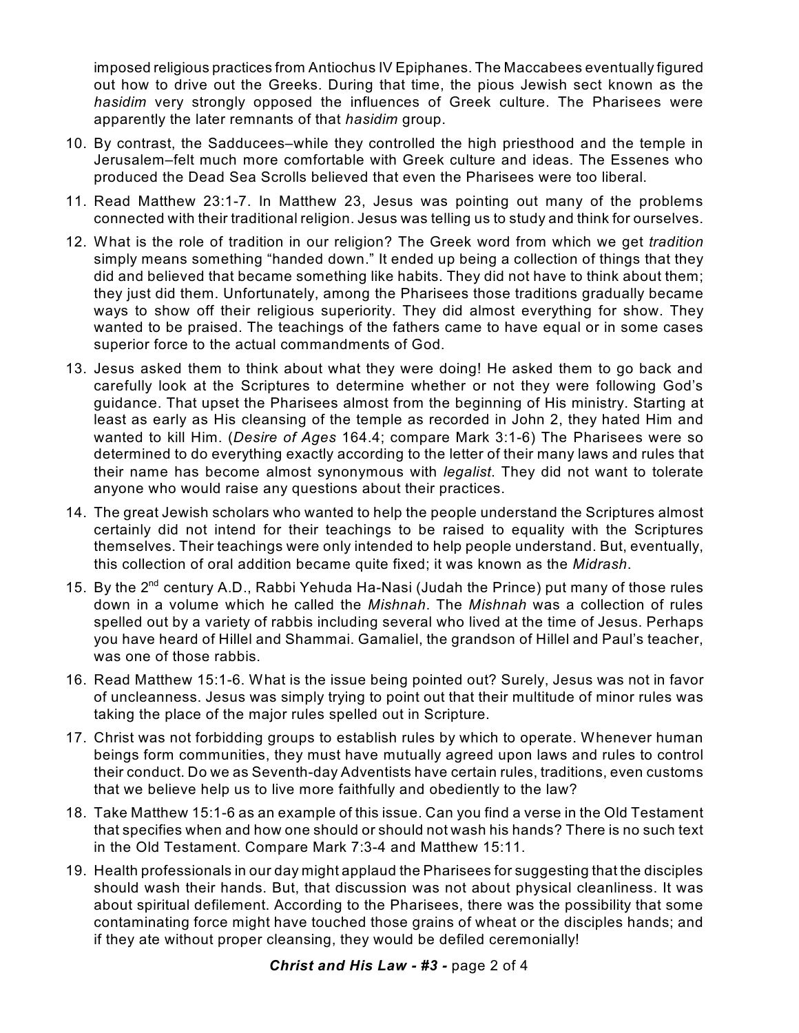imposed religious practices from Antiochus IV Epiphanes. The Maccabees eventually figured out how to drive out the Greeks. During that time, the pious Jewish sect known as the *hasidim* very strongly opposed the influences of Greek culture. The Pharisees were apparently the later remnants of that *hasidim* group.

- 10. By contrast, the Sadducees–while they controlled the high priesthood and the temple in Jerusalem–felt much more comfortable with Greek culture and ideas. The Essenes who produced the Dead Sea Scrolls believed that even the Pharisees were too liberal.
- 11. Read Matthew 23:1-7. In Matthew 23, Jesus was pointing out many of the problems connected with their traditional religion. Jesus was telling us to study and think for ourselves.
- 12. What is the role of tradition in our religion? The Greek word from which we get *tradition* simply means something "handed down." It ended up being a collection of things that they did and believed that became something like habits. They did not have to think about them; they just did them. Unfortunately, among the Pharisees those traditions gradually became ways to show off their religious superiority. They did almost everything for show. They wanted to be praised. The teachings of the fathers came to have equal or in some cases superior force to the actual commandments of God.
- 13. Jesus asked them to think about what they were doing! He asked them to go back and carefully look at the Scriptures to determine whether or not they were following God's guidance. That upset the Pharisees almost from the beginning of His ministry. Starting at least as early as His cleansing of the temple as recorded in John 2, they hated Him and wanted to kill Him. (*Desire of Ages* 164.4; compare Mark 3:1-6) The Pharisees were so determined to do everything exactly according to the letter of their many laws and rules that their name has become almost synonymous with *legalist*. They did not want to tolerate anyone who would raise any questions about their practices.
- 14. The great Jewish scholars who wanted to help the people understand the Scriptures almost certainly did not intend for their teachings to be raised to equality with the Scriptures themselves. Their teachings were only intended to help people understand. But, eventually, this collection of oral addition became quite fixed; it was known as the *Midrash*.
- 15. By the 2<sup>nd</sup> century A.D., Rabbi Yehuda Ha-Nasi (Judah the Prince) put many of those rules down in a volume which he called the *Mishnah*. The *Mishnah* was a collection of rules spelled out by a variety of rabbis including several who lived at the time of Jesus. Perhaps you have heard of Hillel and Shammai. Gamaliel, the grandson of Hillel and Paul's teacher, was one of those rabbis.
- 16. Read Matthew 15:1-6. What is the issue being pointed out? Surely, Jesus was not in favor of uncleanness. Jesus was simply trying to point out that their multitude of minor rules was taking the place of the major rules spelled out in Scripture.
- 17. Christ was not forbidding groups to establish rules by which to operate. Whenever human beings form communities, they must have mutually agreed upon laws and rules to control their conduct. Do we as Seventh-day Adventists have certain rules, traditions, even customs that we believe help us to live more faithfully and obediently to the law?
- 18. Take Matthew 15:1-6 as an example of this issue. Can you find a verse in the Old Testament that specifies when and how one should or should not wash his hands? There is no such text in the Old Testament. Compare Mark 7:3-4 and Matthew 15:11.
- 19. Health professionals in our day might applaud the Pharisees for suggesting that the disciples should wash their hands. But, that discussion was not about physical cleanliness. It was about spiritual defilement. According to the Pharisees, there was the possibility that some contaminating force might have touched those grains of wheat or the disciples hands; and if they ate without proper cleansing, they would be defiled ceremonially!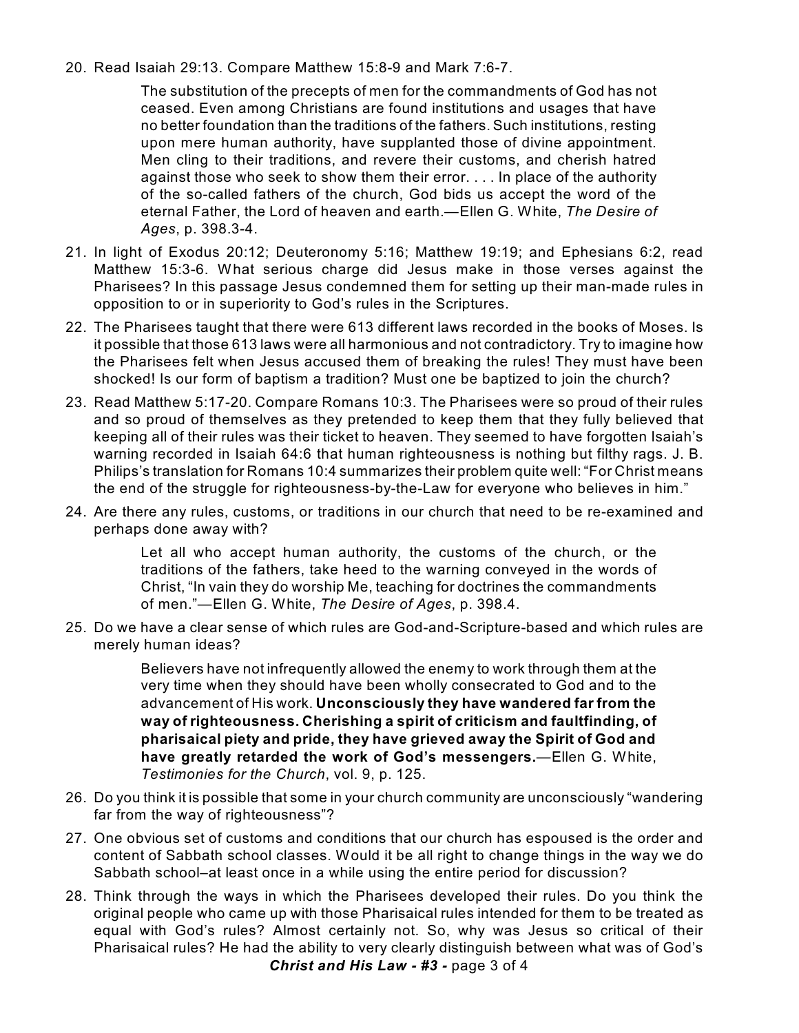20. Read Isaiah 29:13. Compare Matthew 15:8-9 and Mark 7:6-7.

The substitution of the precepts of men for the commandments of God has not ceased. Even among Christians are found institutions and usages that have no better foundation than the traditions of the fathers. Such institutions, resting upon mere human authority, have supplanted those of divine appointment. Men cling to their traditions, and revere their customs, and cherish hatred against those who seek to show them their error. . . . In place of the authority of the so-called fathers of the church, God bids us accept the word of the eternal Father, the Lord of heaven and earth.—Ellen G. White, *The Desire of Ages*, p. 398.3-4.

- 21. In light of Exodus 20:12; Deuteronomy 5:16; Matthew 19:19; and Ephesians 6:2, read Matthew 15:3-6. What serious charge did Jesus make in those verses against the Pharisees? In this passage Jesus condemned them for setting up their man-made rules in opposition to or in superiority to God's rules in the Scriptures.
- 22. The Pharisees taught that there were 613 different laws recorded in the books of Moses. Is it possible that those 613 laws were all harmonious and not contradictory. Try to imagine how the Pharisees felt when Jesus accused them of breaking the rules! They must have been shocked! Is our form of baptism a tradition? Must one be baptized to join the church?
- 23. Read Matthew 5:17-20. Compare Romans 10:3. The Pharisees were so proud of their rules and so proud of themselves as they pretended to keep them that they fully believed that keeping all of their rules was their ticket to heaven. They seemed to have forgotten Isaiah's warning recorded in Isaiah 64:6 that human righteousness is nothing but filthy rags. J. B. Philips's translation for Romans 10:4 summarizes their problem quite well: "For Christ means the end of the struggle for righteousness-by-the-Law for everyone who believes in him."
- 24. Are there any rules, customs, or traditions in our church that need to be re-examined and perhaps done away with?

Let all who accept human authority, the customs of the church, or the traditions of the fathers, take heed to the warning conveyed in the words of Christ, "In vain they do worship Me, teaching for doctrines the commandments of men."—Ellen G. White, *The Desire of Ages*, p. 398.4.

25. Do we have a clear sense of which rules are God-and-Scripture-based and which rules are merely human ideas?

> Believers have not infrequently allowed the enemy to work through them at the very time when they should have been wholly consecrated to God and to the advancement of His work. **Unconsciously they have wandered far from the way of righteousness. Cherishing a spirit of criticism and faultfinding, of pharisaical piety and pride, they have grieved away the Spirit of God and have greatly retarded the work of God's messengers.**—Ellen G. White, *Testimonies for the Church*, vol. 9, p. 125.

- 26. Do you think it is possible that some in your church community are unconsciously "wandering far from the way of righteousness"?
- 27. One obvious set of customs and conditions that our church has espoused is the order and content of Sabbath school classes. Would it be all right to change things in the way we do Sabbath school–at least once in a while using the entire period for discussion?
- 28. Think through the ways in which the Pharisees developed their rules. Do you think the original people who came up with those Pharisaical rules intended for them to be treated as equal with God's rules? Almost certainly not. So, why was Jesus so critical of their Pharisaical rules? He had the ability to very clearly distinguish between what was of God's *Christ and His Law - #3 -* page 3 of 4